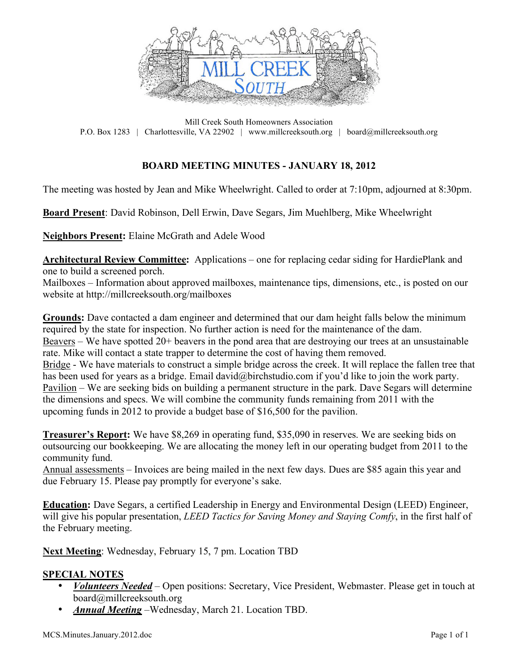

Mill Creek South Homeowners Association P.O. Box 1283 | Charlottesville, VA 22902 | www.millcreeksouth.org | board@millcreeksouth.org

### **BOARD MEETING MINUTES - JANUARY 18, 2012**

The meeting was hosted by Jean and Mike Wheelwright. Called to order at 7:10pm, adjourned at 8:30pm.

**Board Present**: David Robinson, Dell Erwin, Dave Segars, Jim Muehlberg, Mike Wheelwright

**Neighbors Present:** Elaine McGrath and Adele Wood

**Architectural Review Committee:** Applications – one for replacing cedar siding for HardiePlank and one to build a screened porch.

Mailboxes – Information about approved mailboxes, maintenance tips, dimensions, etc., is posted on our website at http://millcreeksouth.org/mailboxes

**Grounds:** Dave contacted a dam engineer and determined that our dam height falls below the minimum required by the state for inspection. No further action is need for the maintenance of the dam. Beavers – We have spotted 20+ beavers in the pond area that are destroying our trees at an unsustainable rate. Mike will contact a state trapper to determine the cost of having them removed. Bridge - We have materials to construct a simple bridge across the creek. It will replace the fallen tree that has been used for years as a bridge. Email david@birchstudio.com if you'd like to join the work party. Pavilion – We are seeking bids on building a permanent structure in the park. Dave Segars will determine the dimensions and specs. We will combine the community funds remaining from 2011 with the upcoming funds in 2012 to provide a budget base of \$16,500 for the pavilion.

**Treasurer's Report:** We have \$8,269 in operating fund, \$35,090 in reserves. We are seeking bids on outsourcing our bookkeeping. We are allocating the money left in our operating budget from 2011 to the community fund.

Annual assessments – Invoices are being mailed in the next few days. Dues are \$85 again this year and due February 15. Please pay promptly for everyone's sake.

**Education:** Dave Segars, a certified Leadership in Energy and Environmental Design (LEED) Engineer, will give his popular presentation, *LEED Tactics for Saving Money and Staying Comfy*, in the first half of the February meeting.

**Next Meeting**: Wednesday, February 15, 7 pm. Location TBD

#### **SPECIAL NOTES**

- *Volunteers Needed* Open positions: Secretary, Vice President, Webmaster. Please get in touch at board@millcreeksouth.org
- *Annual Meeting* –Wednesday, March 21. Location TBD.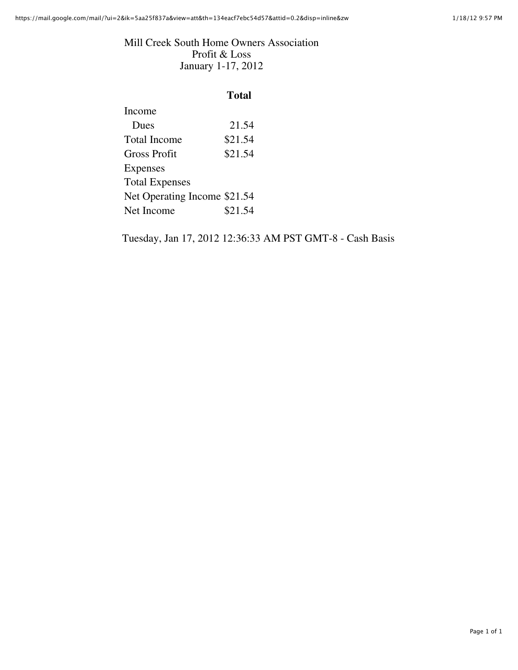#### Mill Creek South Home Owners Association Profit & Loss January 1-17, 2012

## **Total**

| Income                       |         |
|------------------------------|---------|
| <b>Dues</b>                  | 21.54   |
| <b>Total Income</b>          | \$21.54 |
| <b>Gross Profit</b>          | \$21.54 |
| <b>Expenses</b>              |         |
| <b>Total Expenses</b>        |         |
| Net Operating Income \$21.54 |         |
| Net Income                   | \$21.54 |
|                              |         |

Tuesday, Jan 17, 2012 12:36:33 AM PST GMT-8 - Cash Basis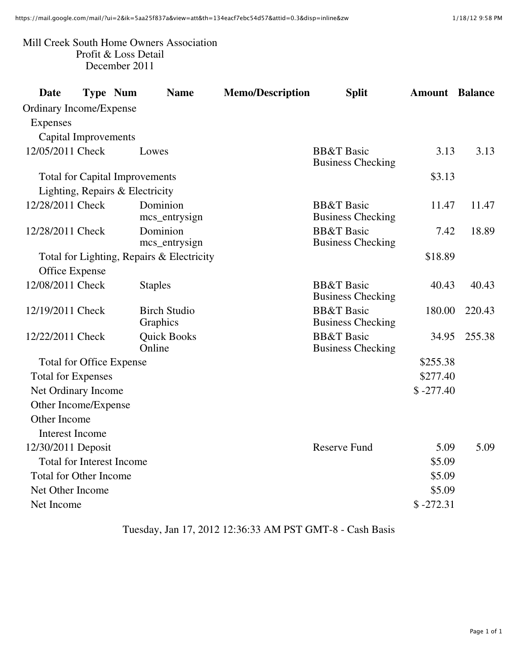### Mill Creek South Home Owners Association Profit & Loss Detail December 2011

| <b>Date</b>                           | <b>Type Num</b> |  | <b>Name</b>                               | <b>Memo/Description</b> | <b>Split</b>                                      | <b>Amount</b> | <b>Balance</b> |
|---------------------------------------|-----------------|--|-------------------------------------------|-------------------------|---------------------------------------------------|---------------|----------------|
| Ordinary Income/Expense               |                 |  |                                           |                         |                                                   |               |                |
| Expenses                              |                 |  |                                           |                         |                                                   |               |                |
| <b>Capital Improvements</b>           |                 |  |                                           |                         |                                                   |               |                |
| 12/05/2011 Check                      |                 |  | Lowes                                     |                         | <b>BB&amp;T</b> Basic<br><b>Business Checking</b> | 3.13          | 3.13           |
| <b>Total for Capital Improvements</b> |                 |  |                                           |                         | \$3.13                                            |               |                |
| Lighting, Repairs & Electricity       |                 |  |                                           |                         |                                                   |               |                |
| 12/28/2011 Check                      |                 |  | Dominion<br>mcs_entrysign                 |                         | <b>BB&amp;T</b> Basic<br><b>Business Checking</b> | 11.47         | 11.47          |
| 12/28/2011 Check                      |                 |  | Dominion<br>mcs_entrysign                 |                         | <b>BB&amp;T</b> Basic<br><b>Business Checking</b> | 7.42          | 18.89          |
|                                       |                 |  | Total for Lighting, Repairs & Electricity |                         |                                                   | \$18.89       |                |
| Office Expense                        |                 |  |                                           |                         |                                                   |               |                |
| 12/08/2011 Check                      |                 |  | <b>Staples</b>                            |                         | <b>BB&amp;T</b> Basic<br><b>Business Checking</b> | 40.43         | 40.43          |
| 12/19/2011 Check                      |                 |  | <b>Birch Studio</b><br>Graphics           |                         | <b>BB&amp;T</b> Basic<br><b>Business Checking</b> | 180.00        | 220.43         |
| 12/22/2011 Check                      |                 |  | <b>Quick Books</b><br>Online              |                         | <b>BB&amp;T</b> Basic<br><b>Business Checking</b> | 34.95         | 255.38         |
| <b>Total for Office Expense</b>       |                 |  |                                           | \$255.38                |                                                   |               |                |
| <b>Total for Expenses</b>             |                 |  |                                           |                         |                                                   | \$277.40      |                |
| Net Ordinary Income                   |                 |  |                                           |                         |                                                   | $$ -277.40$   |                |
| Other Income/Expense                  |                 |  |                                           |                         |                                                   |               |                |
| Other Income                          |                 |  |                                           |                         |                                                   |               |                |
| <b>Interest Income</b>                |                 |  |                                           |                         |                                                   |               |                |
| 12/30/2011 Deposit                    |                 |  |                                           |                         | <b>Reserve Fund</b>                               | 5.09          | 5.09           |
| <b>Total for Interest Income</b>      |                 |  |                                           | \$5.09                  |                                                   |               |                |
| <b>Total for Other Income</b>         |                 |  |                                           |                         |                                                   | \$5.09        |                |
| Net Other Income                      |                 |  |                                           |                         |                                                   | \$5.09        |                |
| Net Income                            |                 |  |                                           |                         |                                                   | $$ -272.31$   |                |

Tuesday, Jan 17, 2012 12:36:33 AM PST GMT-8 - Cash Basis